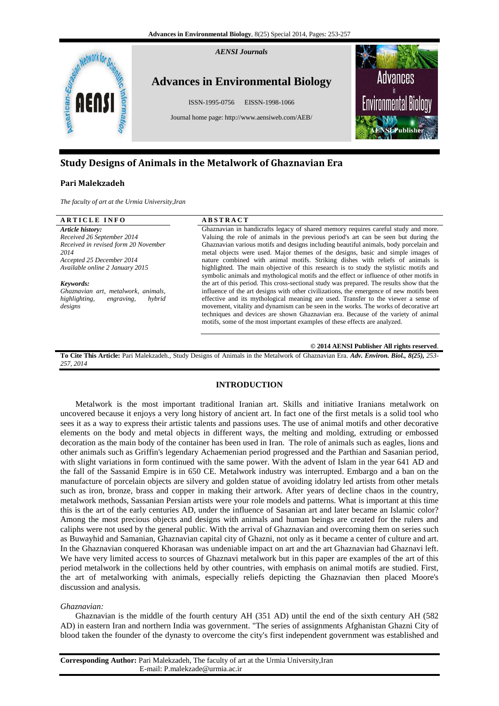

# **Study Designs of Animals in the Metalwork of Ghaznavian Era**

## **Pari Malekzadeh**

*The faculty of art at the Urmia University,Iran*

## **A R T I C L E I N F O A B S T R A C T**

*Article history: Received 26 September 2014 Received in revised form 20 November 2014 Accepted 25 December 2014 Available online 2 January 2015*

*Keywords: Ghaznavian art, metalwork, animals, highlighting, engraving, hybrid designs*

Ghaznavian in handicrafts legacy of shared memory requires careful study and more. Valuing the role of animals in the previous period's art can be seen but during the Ghaznavian various motifs and designs including beautiful animals, body porcelain and metal objects were used. Major themes of the designs, basic and simple images of nature combined with animal motifs. Striking dishes with reliefs of animals is highlighted. The main objective of this research is to study the stylistic motifs and symbolic animals and mythological motifs and the effect or influence of other motifs in the art of this period. This cross-sectional study was prepared. The results show that the influence of the art designs with other civilizations, the emergence of new motifs been effective and its mythological meaning are used. Transfer to the viewer a sense of movement, vitality and dynamism can be seen in the works. The works of decorative art techniques and devices are shown Ghaznavian era. Because of the variety of animal motifs, some of the most important examples of these effects are analyzed.

#### **© 2014 AENSI Publisher All rights reserved**.

**To Cite This Article:** Pari Malekzadeh., Study Designs of Animals in the Metalwork of Ghaznavian Era. *Adv. Environ. Biol., 8(25), 253- 257, 2014*

## **INTRODUCTION**

Metalwork is the most important traditional Iranian art. Skills and initiative Iranians metalwork on uncovered because it enjoys a very long history of ancient art. In fact one of the first metals is a solid tool who sees it as a way to express their artistic talents and passions uses. The use of animal motifs and other decorative elements on the body and metal objects in different ways, the melting and molding, extruding or embossed decoration as the main body of the container has been used in Iran. The role of animals such as eagles, lions and other animals such as Griffin's legendary Achaemenian period progressed and the Parthian and Sasanian period, with slight variations in form continued with the same power. With the advent of Islam in the year 641 AD and the fall of the Sassanid Empire is in 650 CE. Metalwork industry was interrupted. Embargo and a ban on the manufacture of porcelain objects are silvery and golden statue of avoiding idolatry led artists from other metals such as iron, bronze, brass and copper in making their artwork. After years of decline chaos in the country, metalwork methods, Sassanian Persian artists were your role models and patterns. What is important at this time this is the art of the early centuries AD, under the influence of Sasanian art and later became an Islamic color? Among the most precious objects and designs with animals and human beings are created for the rulers and caliphs were not used by the general public. With the arrival of Ghaznavian and overcoming them on series such as Buwayhid and Samanian, Ghaznavian capital city of Ghazni, not only as it became a center of culture and art. In the Ghaznavian conquered Khorasan was undeniable impact on art and the art Ghaznavian had Ghaznavi left. We have very limited access to sources of Ghaznavi metalwork but in this paper are examples of the art of this period metalwork in the collections held by other countries, with emphasis on animal motifs are studied. First, the art of metalworking with animals, especially reliefs depicting the Ghaznavian then placed Moore's discussion and analysis.

## *Ghaznavian:*

Ghaznavian is the middle of the fourth century AH (351 AD) until the end of the sixth century AH (582 AD) in eastern Iran and northern India was government. "The series of assignments Afghanistan Ghazni City of blood taken the founder of the dynasty to overcome the city's first independent government was established and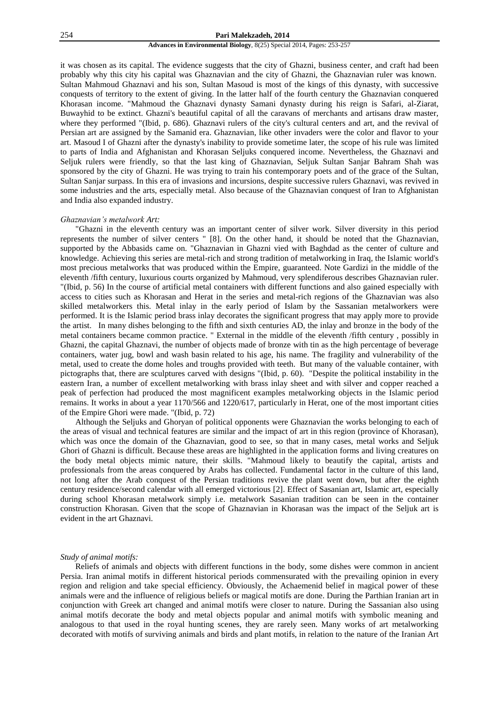#### 254 **Pari Malekzadeh, 2014**

#### **Advances in Environmental Biology**, 8(25) Special 2014, Pages: 253-257

it was chosen as its capital. The evidence suggests that the city of Ghazni, business center, and craft had been probably why this city his capital was Ghaznavian and the city of Ghazni, the Ghaznavian ruler was known. Sultan Mahmoud Ghaznavi and his son, Sultan Masoud is most of the kings of this dynasty, with successive conquests of territory to the extent of giving. In the latter half of the fourth century the Ghaznavian conquered Khorasan income. "Mahmoud the Ghaznavi dynasty Samani dynasty during his reign is Safari, al-Ziarat, Buwayhid to be extinct. Ghazni's beautiful capital of all the caravans of merchants and artisans draw master, where they performed "(Ibid, p. 686). Ghaznavi rulers of the city's cultural centers and art, and the revival of Persian art are assigned by the Samanid era. Ghaznavian, like other invaders were the color and flavor to your art. Masoud I of Ghazni after the dynasty's inability to provide sometime later, the scope of his rule was limited to parts of India and Afghanistan and Khorasan Seljuks conquered income. Nevertheless, the Ghaznavi and Seljuk rulers were friendly, so that the last king of Ghaznavian, Seljuk Sultan Sanjar Bahram Shah was sponsored by the city of Ghazni. He was trying to train his contemporary poets and of the grace of the Sultan, Sultan Sanjar surpass. In this era of invasions and incursions, despite successive rulers Ghaznavi, was revived in some industries and the arts, especially metal. Also because of the Ghaznavian conquest of Iran to Afghanistan and India also expanded industry.

## *Ghaznavian's metalwork Art:*

"Ghazni in the eleventh century was an important center of silver work. Silver diversity in this period represents the number of silver centers " [8]. On the other hand, it should be noted that the Ghaznavian, supported by the Abbasids came on. "Ghaznavian in Ghazni vied with Baghdad as the center of culture and knowledge. Achieving this series are metal-rich and strong tradition of metalworking in Iraq, the Islamic world's most precious metalworks that was produced within the Empire, guaranteed. Note Gardizi in the middle of the eleventh /fifth century, luxurious courts organized by Mahmoud, very splendiferous describes Ghaznavian ruler. "(Ibid, p. 56) In the course of artificial metal containers with different functions and also gained especially with access to cities such as Khorasan and Herat in the series and metal-rich regions of the Ghaznavian was also skilled metalworkers this. Metal inlay in the early period of Islam by the Sassanian metalworkers were performed. It is the Islamic period brass inlay decorates the significant progress that may apply more to provide the artist. In many dishes belonging to the fifth and sixth centuries AD, the inlay and bronze in the body of the metal containers became common practice. " External in the middle of the eleventh /fifth century , possibly in Ghazni, the capital Ghaznavi, the number of objects made of bronze with tin as the high percentage of beverage containers, water jug, bowl and wash basin related to his age, his name. The fragility and vulnerability of the metal, used to create the dome holes and troughs provided with teeth. But many of the valuable container, with pictographs that, there are sculptures carved with designs "(Ibid, p. 60). "Despite the political instability in the eastern Iran, a number of excellent metalworking with brass inlay sheet and with silver and copper reached a peak of perfection had produced the most magnificent examples metalworking objects in the Islamic period remains. It works in about a year 1170/566 and 1220/617, particularly in Herat, one of the most important cities of the Empire Ghori were made. "(Ibid, p. 72)

Although the Seljuks and Ghoryan of political opponents were Ghaznavian the works belonging to each of the areas of visual and technical features are similar and the impact of art in this region (province of Khorasan), which was once the domain of the Ghaznavian, good to see, so that in many cases, metal works and Seljuk Ghori of Ghazni is difficult. Because these areas are highlighted in the application forms and living creatures on the body metal objects mimic nature, their skills. "Mahmoud likely to beautify the capital, artists and professionals from the areas conquered by Arabs has collected. Fundamental factor in the culture of this land, not long after the Arab conquest of the Persian traditions revive the plant went down, but after the eighth century residence/second calendar with all emerged victorious [2]. Effect of Sasanian art, Islamic art, especially during school Khorasan metalwork simply i.e. metalwork Sasanian tradition can be seen in the container construction Khorasan. Given that the scope of Ghaznavian in Khorasan was the impact of the Seljuk art is evident in the art Ghaznavi.

#### *Study of animal motifs:*

Reliefs of animals and objects with different functions in the body, some dishes were common in ancient Persia. Iran animal motifs in different historical periods commensurated with the prevailing opinion in every region and religion and take special efficiency. Obviously, the Achaemenid belief in magical power of these animals were and the influence of religious beliefs or magical motifs are done. During the Parthian Iranian art in conjunction with Greek art changed and animal motifs were closer to nature. During the Sassanian also using animal motifs decorate the body and metal objects popular and animal motifs with symbolic meaning and analogous to that used in the royal hunting scenes, they are rarely seen. Many works of art metalworking decorated with motifs of surviving animals and birds and plant motifs, in relation to the nature of the Iranian Art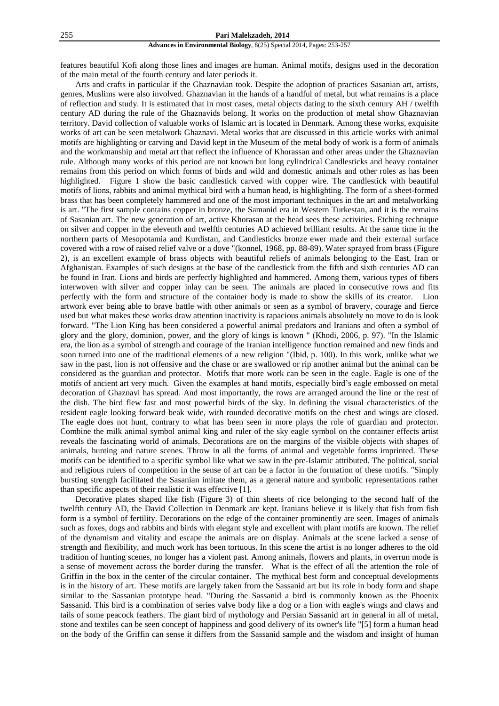#### **Advances in Environmental Biology**, 8(25) Special 2014, Pages: 253-257

features beautiful Kofi along those lines and images are human. Animal motifs, designs used in the decoration of the main metal of the fourth century and later periods it.

Arts and crafts in particular if the Ghaznavian took. Despite the adoption of practices Sasanian art, artists, genres, Muslims were also involved. Ghaznavian in the hands of a handful of metal, but what remains is a place of reflection and study. It is estimated that in most cases, metal objects dating to the sixth century AH / twelfth century AD during the rule of the Ghaznavids belong. It works on the production of metal show Ghaznavian territory. David collection of valuable works of Islamic art is located in Denmark. Among these works, exquisite works of art can be seen metalwork Ghaznavi. Metal works that are discussed in this article works with animal motifs are highlighting or carving and David kept in the Museum of the metal body of work is a form of animals and the workmanship and metal art that reflect the influence of Khorassan and other areas under the Ghaznavian rule. Although many works of this period are not known but long cylindrical Candlesticks and heavy container remains from this period on which forms of birds and wild and domestic animals and other roles as has been highlighted. Figure 1 show the basic candlestick carved with copper wire. The candlestick with beautiful motifs of lions, rabbits and animal mythical bird with a human head, is highlighting. The form of a sheet-formed brass that has been completely hammered and one of the most important techniques in the art and metalworking is art. "The first sample contains copper in bronze, the Samanid era in Western Turkestan, and it is the remains of Sasanian art. The new generation of art, active Khorasan at the head sees these activities. Etching technique on silver and copper in the eleventh and twelfth centuries AD achieved brilliant results. At the same time in the northern parts of Mesopotamia and Kurdistan, and Candlesticks bronze ewer made and their external surface covered with a row of raised relief valve or a dove "(konnel, 1968, pp. 88-89). Water sprayed from brass (Figure 2), is an excellent example of brass objects with beautiful reliefs of animals belonging to the East, Iran or Afghanistan. Examples of such designs at the base of the candlestick from the fifth and sixth centuries AD can be found in Iran. Lions and birds are perfectly highlighted and hammered. Among them, various types of fibers interwoven with silver and copper inlay can be seen. The animals are placed in consecutive rows and fits perfectly with the form and structure of the container body is made to show the skills of its creator. Lion artwork ever being able to brave battle with other animals or seen as a symbol of bravery, courage and fierce used but what makes these works draw attention inactivity is rapacious animals absolutely no move to do is look forward. "The Lion King has been considered a powerful animal predators and Iranians and often a symbol of glory and the glory, dominion, power, and the glory of kings is known " (Khodi, 2006, p. 97). "In the Islamic era, the lion as a symbol of strength and courage of the Iranian intelligence function remained and new finds and soon turned into one of the traditional elements of a new religion "(Ibid, p. 100). In this work, unlike what we saw in the past, lion is not offensive and the chase or are swallowed or rip another animal but the animal can be considered as the guardian and protector. Motifs that more work can be seen in the eagle. Eagle is one of the motifs of ancient art very much. Given the examples at hand motifs, especially bird's eagle embossed on metal decoration of Ghaznavi has spread. And most importantly, the rows are arranged around the line or the rest of the dish. The bird flew fast and most powerful birds of the sky. In defining the visual characteristics of the resident eagle looking forward beak wide, with rounded decorative motifs on the chest and wings are closed. The eagle does not hunt, contrary to what has been seen in more plays the role of guardian and protector. Combine the milk animal symbol animal king and ruler of the sky eagle symbol on the container effects artist reveals the fascinating world of animals. Decorations are on the margins of the visible objects with shapes of animals, hunting and nature scenes. Throw in all the forms of animal and vegetable forms imprinted. These motifs can be identified to a specific symbol like what we saw in the pre-Islamic attributed. The political, social and religious rulers of competition in the sense of art can be a factor in the formation of these motifs. "Simply bursting strength facilitated the Sasanian imitate them, as a general nature and symbolic representations rather than specific aspects of their realistic it was effective [1].

Decorative plates shaped like fish (Figure 3) of thin sheets of rice belonging to the second half of the twelfth century AD, the David Collection in Denmark are kept. Iranians believe it is likely that fish from fish form is a symbol of fertility. Decorations on the edge of the container prominently are seen. Images of animals such as foxes, dogs and rabbits and birds with elegant style and excellent with plant motifs are known. The relief of the dynamism and vitality and escape the animals are on display. Animals at the scene lacked a sense of strength and flexibility, and much work has been tortuous. In this scene the artist is no longer adheres to the old tradition of hunting scenes, no longer has a violent past. Among animals, flowers and plants, in overrun mode is a sense of movement across the border during the transfer. What is the effect of all the attention the role of Griffin in the box in the center of the circular container. The mythical best form and conceptual developments is in the history of art. These motifs are largely taken from the Sassanid art but its role in body form and shape similar to the Sassanian prototype head. "During the Sassanid a bird is commonly known as the Phoenix Sassanid. This bird is a combination of series valve body like a dog or a lion with eagle's wings and claws and tails of some peacock feathers. The giant bird of mythology and Persian Sassanid art in general in all of metal, stone and textiles can be seen concept of happiness and good delivery of its owner's life "[5] form a human head on the body of the Griffin can sense it differs from the Sassanid sample and the wisdom and insight of human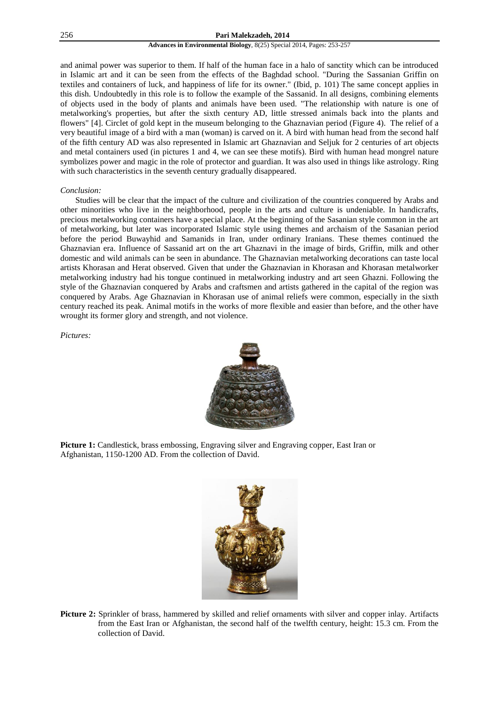### 256 **Pari Malekzadeh, 2014**

### **Advances in Environmental Biology**, 8(25) Special 2014, Pages: 253-257

and animal power was superior to them. If half of the human face in a halo of sanctity which can be introduced in Islamic art and it can be seen from the effects of the Baghdad school. "During the Sassanian Griffin on textiles and containers of luck, and happiness of life for its owner." (Ibid, p. 101) The same concept applies in this dish. Undoubtedly in this role is to follow the example of the Sassanid. In all designs, combining elements of objects used in the body of plants and animals have been used. "The relationship with nature is one of metalworking's properties, but after the sixth century AD, little stressed animals back into the plants and flowers" [4]. Circlet of gold kept in the museum belonging to the Ghaznavian period (Figure 4). The relief of a very beautiful image of a bird with a man (woman) is carved on it. A bird with human head from the second half of the fifth century AD was also represented in Islamic art Ghaznavian and Seljuk for 2 centuries of art objects and metal containers used (in pictures 1 and 4, we can see these motifs). Bird with human head mongrel nature symbolizes power and magic in the role of protector and guardian. It was also used in things like astrology. Ring with such characteristics in the seventh century gradually disappeared.

## *Conclusion:*

Studies will be clear that the impact of the culture and civilization of the countries conquered by Arabs and other minorities who live in the neighborhood, people in the arts and culture is undeniable. In handicrafts, precious metalworking containers have a special place. At the beginning of the Sasanian style common in the art of metalworking, but later was incorporated Islamic style using themes and archaism of the Sasanian period before the period Buwayhid and Samanids in Iran, under ordinary Iranians. These themes continued the Ghaznavian era. Influence of Sassanid art on the art Ghaznavi in the image of birds, Griffin, milk and other domestic and wild animals can be seen in abundance. The Ghaznavian metalworking decorations can taste local artists Khorasan and Herat observed. Given that under the Ghaznavian in Khorasan and Khorasan metalworker metalworking industry had his tongue continued in metalworking industry and art seen Ghazni. Following the style of the Ghaznavian conquered by Arabs and craftsmen and artists gathered in the capital of the region was conquered by Arabs. Age Ghaznavian in Khorasan use of animal reliefs were common, especially in the sixth century reached its peak. Animal motifs in the works of more flexible and easier than before, and the other have wrought its former glory and strength, and not violence.

*Pictures:*



**Picture 1:** Candlestick, brass embossing, Engraving silver and Engraving copper, East Iran or Afghanistan, 1150-1200 AD. From the collection of David.



**Picture 2:** Sprinkler of brass, hammered by skilled and relief ornaments with silver and copper inlay. Artifacts from the East Iran or Afghanistan, the second half of the twelfth century, height: 15.3 cm. From the collection of David.